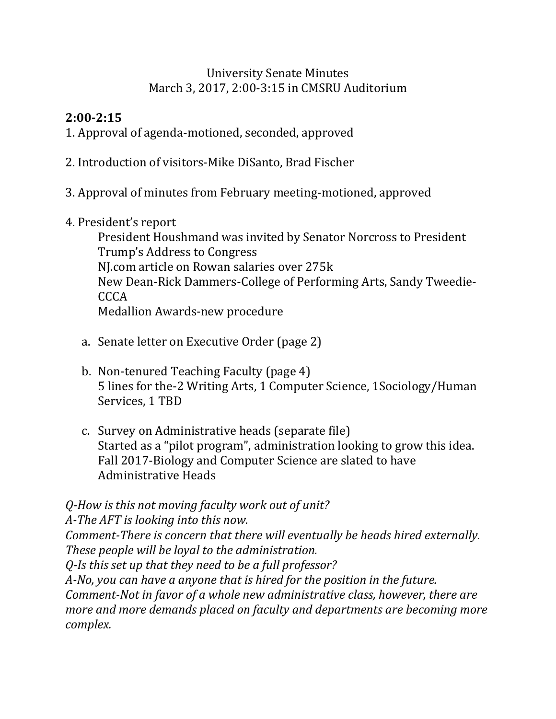#### University Senate Minutes March 3, 2017, 2:00-3:15 in CMSRU Auditorium

### **2:00-2:15**

1. Approval of agenda-motioned, seconded, approved

- 2. Introduction of visitors-Mike DiSanto, Brad Fischer
- 3. Approval of minutes from February meeting-motioned, approved
- 4. President's report

President Houshmand was invited by Senator Norcross to President Trump's Address to Congress NJ.com article on Rowan salaries over 275k New Dean-Rick Dammers-College of Performing Arts, Sandy Tweedie-**CCCA** Medallion Awards-new procedure

- a. Senate letter on Executive Order (page 2)
- b. Non-tenured Teaching Faculty (page 4) 5 lines for the-2 Writing Arts, 1 Computer Science, 1Sociology/Human Services, 1 TBD
- c. Survey on Administrative heads (separate file) Started as a "pilot program", administration looking to grow this idea. Fall 2017-Biology and Computer Science are slated to have Administrative Heads

*Q-How is this not moving faculty work out of unit? A-The AFT is looking into this now.*

*Comment-There is concern that there will eventually be heads hired externally. These people will be loyal to the administration.*

*Q-Is this set up that they need to be a full professor?*

*A-No, you can have a anyone that is hired for the position in the future. Comment-Not in favor of a whole new administrative class, however, there are more and more demands placed on faculty and departments are becoming more complex.*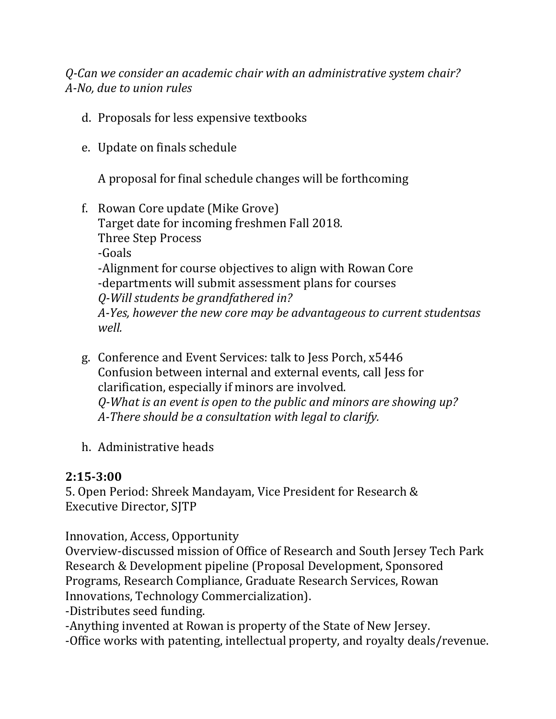*Q-Can we consider an academic chair with an administrative system chair? A-No, due to union rules*

- d. Proposals for less expensive textbooks
- e. Update on finals schedule

A proposal for final schedule changes will be forthcoming

- f. Rowan Core update (Mike Grove) Target date for incoming freshmen Fall 2018. Three Step Process -Goals -Alignment for course objectives to align with Rowan Core -departments will submit assessment plans for courses *Q-Will students be grandfathered in? A-Yes, however the new core may be advantageous to current studentsas well.*
- g. Conference and Event Services: talk to Jess Porch, x5446 Confusion between internal and external events, call Jess for clarification, especially if minors are involved. *Q-What is an event is open to the public and minors are showing up? A-There should be a consultation with legal to clarify.*
- h. Administrative heads

## **2:15-3:00**

5. Open Period: Shreek Mandayam, Vice President for Research & Executive Director, SJTP

Innovation, Access, Opportunity

Overview-discussed mission of Office of Research and South Jersey Tech Park Research & Development pipeline (Proposal Development, Sponsored Programs, Research Compliance, Graduate Research Services, Rowan Innovations, Technology Commercialization).

-Distributes seed funding.

-Anything invented at Rowan is property of the State of New Jersey.

-Office works with patenting, intellectual property, and royalty deals/revenue.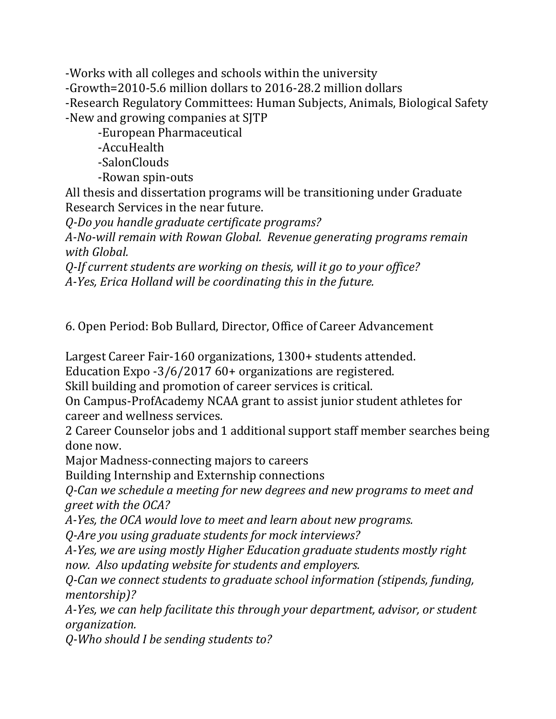-Works with all colleges and schools within the university

-Growth=2010-5.6 million dollars to 2016-28.2 million dollars

-Research Regulatory Committees: Human Subjects, Animals, Biological Safety -New and growing companies at SJTP

-European Pharmaceutical

-AccuHealth

-SalonClouds

-Rowan spin-outs

All thesis and dissertation programs will be transitioning under Graduate Research Services in the near future.

*Q-Do you handle graduate certificate programs?*

*A-No-will remain with Rowan Global. Revenue generating programs remain with Global.*

*Q-If current students are working on thesis, will it go to your office? A-Yes, Erica Holland will be coordinating this in the future.*

6. Open Period: Bob Bullard, Director, Office of Career Advancement

Largest Career Fair-160 organizations, 1300+ students attended.

Education Expo -3/6/2017 60+ organizations are registered.

Skill building and promotion of career services is critical.

On Campus-ProfAcademy NCAA grant to assist junior student athletes for career and wellness services.

2 Career Counselor jobs and 1 additional support staff member searches being done now.

Major Madness-connecting majors to careers

Building Internship and Externship connections

*Q-Can we schedule a meeting for new degrees and new programs to meet and greet with the OCA?*

*A-Yes, the OCA would love to meet and learn about new programs.*

*Q-Are you using graduate students for mock interviews?*

*A-Yes, we are using mostly Higher Education graduate students mostly right now. Also updating website for students and employers.*

*Q-Can we connect students to graduate school information (stipends, funding, mentorship)?*

*A-Yes, we can help facilitate this through your department, advisor, or student organization.*

*Q-Who should I be sending students to?*